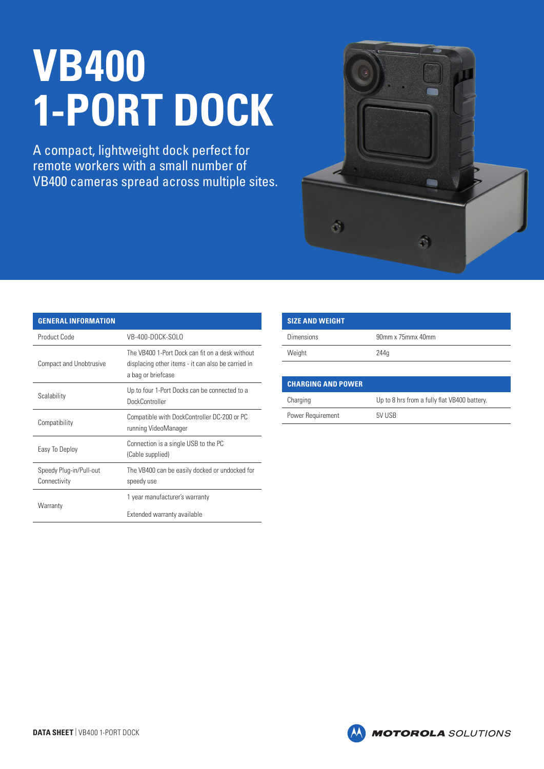## **VB400 1-PORT DOCK**

A compact, lightweight dock perfect for remote workers with a small number of VB400 cameras spread across multiple sites.



| <b>GENERAL INFORMATION</b>              |                                                                                                                             |
|-----------------------------------------|-----------------------------------------------------------------------------------------------------------------------------|
| Product Code                            | VB-400-DOCK-SOLO                                                                                                            |
| <b>Compact and Unobtrusive</b>          | The VB400 1-Port Dock can fit on a desk without<br>displacing other items - it can also be carried in<br>a bag or briefcase |
| Scalability                             | Up to four 1-Port Docks can be connected to a<br><b>DockController</b>                                                      |
| Compatibility                           | Compatible with DockController DC-200 or PC<br>running VideoManager                                                         |
| Easy To Deploy                          | Connection is a single USB to the PC<br>(Cable supplied)                                                                    |
| Speedy Plug-in/Pull-out<br>Connectivity | The VB400 can be easily docked or undocked for<br>speedy use                                                                |
| Warranty                                | 1 year manufacturer's warranty                                                                                              |
|                                         | Extended warranty available                                                                                                 |

| <b>SIZE AND WEIGHT</b> |                   |
|------------------------|-------------------|
| <b>Dimensions</b>      | 90mm x 75mmx 40mm |
| Weight                 | 244q              |
|                        |                   |

| <b>CHARGING AND POWER</b> |                                              |
|---------------------------|----------------------------------------------|
| Charging                  | Up to 8 hrs from a fully flat VB400 battery. |
| Power Requirement         | 5V USB                                       |